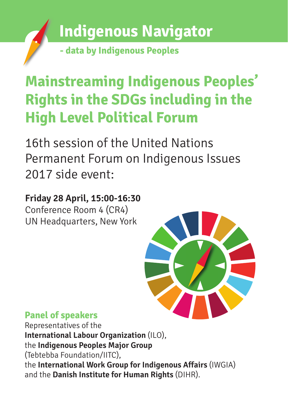

**- data by Indigenous Peoples**

# **Mainstreaming Indigenous Peoples' Rights in the SDGs including in the High Level Political Forum**

16th session of the United Nations Permanent Forum on Indigenous Issues 2017 side event:

### **Friday 28 April, 15:00-16:30**

Conference Room 4 (CR4) UN Headquarters, New York



### **Panel of speakers**

Representatives of the **International Labour Organization** (ILO), the **Indigenous Peoples Major Group** (Tebtebba Foundation/IITC), the **International Work Group for Indigenous Affairs** (IWGIA) and the **Danish Institute for Human Rights** (DIHR).